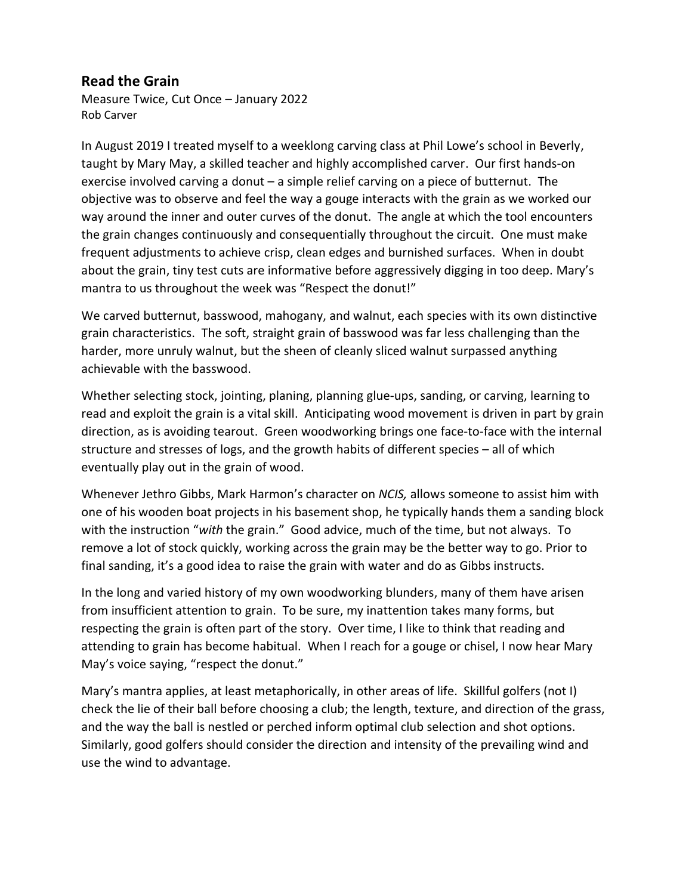## **Read the Grain**

Measure Twice, Cut Once – January 2022 Rob Carver

In August 2019 I treated myself to a weeklong carving class at Phil Lowe's school in Beverly, taught by Mary May, a skilled teacher and highly accomplished carver. Our first hands-on exercise involved carving a donut – a simple relief carving on a piece of butternut. The objective was to observe and feel the way a gouge interacts with the grain as we worked our way around the inner and outer curves of the donut. The angle at which the tool encounters the grain changes continuously and consequentially throughout the circuit. One must make frequent adjustments to achieve crisp, clean edges and burnished surfaces. When in doubt about the grain, tiny test cuts are informative before aggressively digging in too deep. Mary's mantra to us throughout the week was "Respect the donut!"

We carved butternut, basswood, mahogany, and walnut, each species with its own distinctive grain characteristics. The soft, straight grain of basswood was far less challenging than the harder, more unruly walnut, but the sheen of cleanly sliced walnut surpassed anything achievable with the basswood.

Whether selecting stock, jointing, planing, planning glue-ups, sanding, or carving, learning to read and exploit the grain is a vital skill. Anticipating wood movement is driven in part by grain direction, as is avoiding tearout. Green woodworking brings one face-to-face with the internal structure and stresses of logs, and the growth habits of different species – all of which eventually play out in the grain of wood.

Whenever Jethro Gibbs, Mark Harmon's character on *NCIS,* allows someone to assist him with one of his wooden boat projects in his basement shop, he typically hands them a sanding block with the instruction "*with* the grain." Good advice, much of the time, but not always. To remove a lot of stock quickly, working across the grain may be the better way to go. Prior to final sanding, it's a good idea to raise the grain with water and do as Gibbs instructs.

In the long and varied history of my own woodworking blunders, many of them have arisen from insufficient attention to grain. To be sure, my inattention takes many forms, but respecting the grain is often part of the story. Over time, I like to think that reading and attending to grain has become habitual. When I reach for a gouge or chisel, I now hear Mary May's voice saying, "respect the donut."

Mary's mantra applies, at least metaphorically, in other areas of life. Skillful golfers (not I) check the lie of their ball before choosing a club; the length, texture, and direction of the grass, and the way the ball is nestled or perched inform optimal club selection and shot options. Similarly, good golfers should consider the direction and intensity of the prevailing wind and use the wind to advantage.